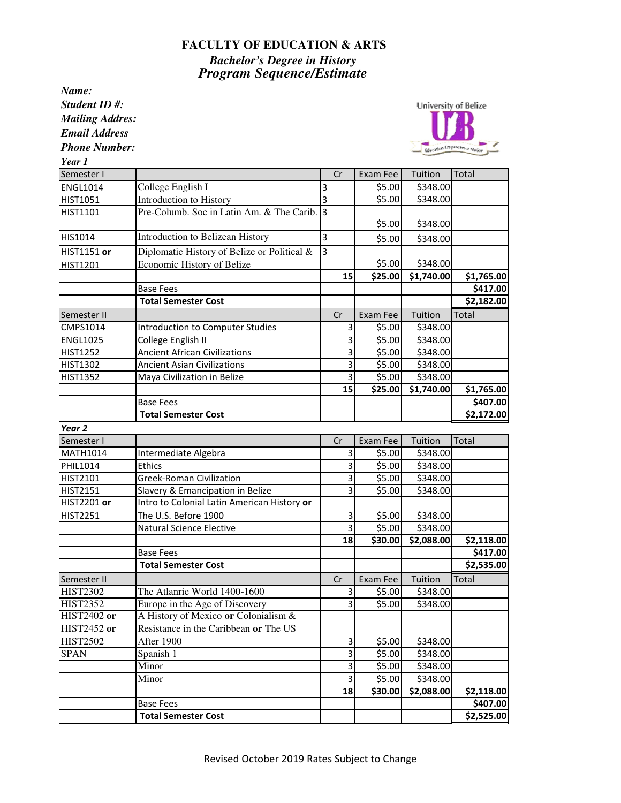## **FACULTY OF EDUCATION & ARTS**

*Bachelor's Degree in History Program Sequence/Estimate*

*Name: Student ID #: Mailing Addres: Email Address*

*Phone Number:*



*Year 1*

| Semester I         |                                             | Cr                        | Exam Fee | Tuition    | Total      |
|--------------------|---------------------------------------------|---------------------------|----------|------------|------------|
| <b>ENGL1014</b>    | College English I                           | 3                         | \$5.00   | \$348.00   |            |
| HIST1051           | Introduction to History                     | $\overline{3}$            | \$5.00   | \$348.00   |            |
| HIST1101           | Pre-Columb. Soc in Latin Am. & The Carib. 3 |                           |          |            |            |
|                    |                                             |                           | \$5.00   | \$348.00   |            |
| HIS1014            | Introduction to Belizean History            | $\overline{3}$            | \$5.00   | \$348.00   |            |
| <b>HIST1151 or</b> | Diplomatic History of Belize or Political & | $\overline{3}$            |          |            |            |
| HIST1201           | Economic History of Belize                  |                           | \$5.00   | \$348.00   |            |
|                    |                                             | 15                        | \$25.00  | \$1,740.00 | \$1,765.00 |
|                    | <b>Base Fees</b>                            |                           |          |            | \$417.00   |
|                    | <b>Total Semester Cost</b>                  |                           |          |            | \$2,182.00 |
| Semester II        |                                             | Cr                        | Exam Fee | Tuition    | Total      |
| CMPS1014           | Introduction to Computer Studies            | 3                         | \$5.00   | \$348.00   |            |
| <b>ENGL1025</b>    | College English II                          | 3                         | \$5.00   | \$348.00   |            |
| HIST1252           | <b>Ancient African Civilizations</b>        | $\overline{3}$            | \$5.00   | \$348.00   |            |
| HIST1302           | <b>Ancient Asian Civilizations</b>          | 3                         | \$5.00   | \$348.00   |            |
| <b>HIST1352</b>    | Maya Civilization in Belize                 | 3                         | \$5.00   | \$348.00   |            |
|                    |                                             | 15                        | \$25.00  | \$1,740.00 | \$1,765.00 |
|                    | <b>Base Fees</b>                            |                           |          |            | \$407.00   |
|                    | <b>Total Semester Cost</b>                  |                           |          |            | \$2,172.00 |
| Year <sub>2</sub>  |                                             |                           |          |            |            |
| Semester I         |                                             | Cr                        | Exam Fee | Tuition    | Total      |
| MATH1014           | Intermediate Algebra                        | 3                         | \$5.00   | \$348.00   |            |
| PHIL1014           | <b>Ethics</b>                               | 3                         | \$5.00   | \$348.00   |            |
| HIST2101           | <b>Greek-Roman Civilization</b>             | $\overline{3}$            | \$5.00   | \$348.00   |            |
| HIST2151           | Slavery & Emancipation in Belize            | $\overline{3}$            | \$5.00   | \$348.00   |            |
| <b>HIST2201 or</b> | Intro to Colonial Latin American History or |                           |          |            |            |
| HIST2251           | The U.S. Before 1900                        | 3                         | \$5.00   | \$348.00   |            |
|                    | Natural Science Elective                    | $\overline{3}$            | \$5.00   | \$348.00   |            |
|                    |                                             | 18                        | \$30.00  | \$2,088.00 | \$2,118.00 |
|                    | <b>Base Fees</b>                            |                           |          |            | \$417.00   |
|                    | <b>Total Semester Cost</b>                  |                           |          |            | \$2,535.00 |
| Semester II        |                                             | Cr                        | Exam Fee | Tuition    | Total      |
| <b>HIST2302</b>    | The Atlanric World 1400-1600                | 3                         | \$5.00   | \$348.00   |            |
| <b>HIST2352</b>    | Europe in the Age of Discovery              | 3                         | \$5.00   | \$348.00   |            |
| <b>HIST2402</b> or | A History of Mexico or Colonialism &        |                           |          |            |            |
| <b>HIST2452</b> or | Resistance in the Caribbean or The US       |                           |          |            |            |
| <b>HIST2502</b>    | After 1900                                  | $\ensuremath{\mathsf{3}}$ | \$5.00   | \$348.00   |            |
| <b>SPAN</b>        | Spanish 1                                   | υ                         | \$5.00   | \$348.00   |            |
|                    | Minor                                       | υ                         | \$5.00   | \$348.00   |            |
|                    | Minor                                       | $\overline{\mathbf{3}}$   | \$5.00   | \$348.00   |            |
|                    |                                             | 18                        | \$30.00  | \$2,088.00 | \$2,118.00 |
|                    | <b>Base Fees</b>                            |                           |          |            | \$407.00   |
|                    | <b>Total Semester Cost</b>                  |                           |          |            | \$2,525.00 |